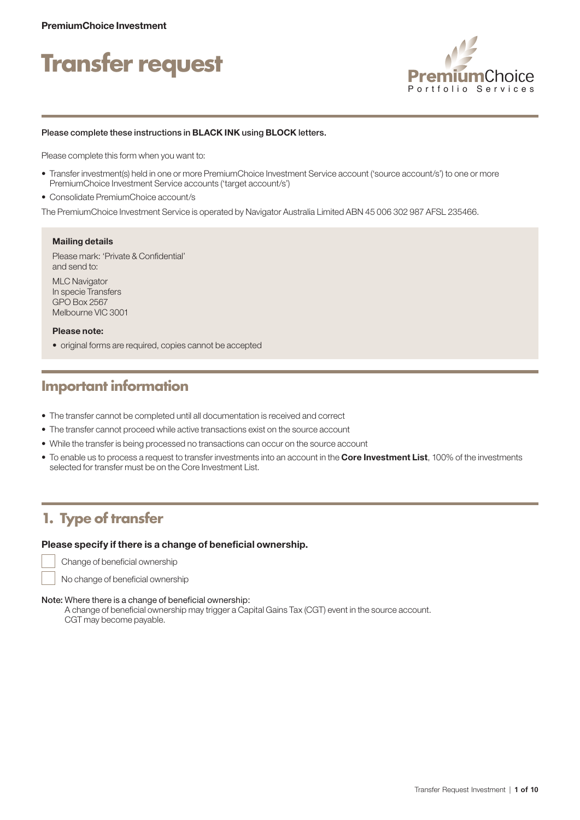# **Transfer request**



#### Please complete these instructions in BLACK INK using BLOCK letters.

Please complete this form when you want to:

- Transfer investment(s) held in one or more PremiumChoice Investment Service account ('source account/s') to one or more PremiumChoice Investment Service accounts ('target account/s')
- Consolidate PremiumChoice account/s

The PremiumChoice Investment Service is operated by Navigator Australia Limited ABN 45 006 302 987 AFSL 235466.

#### Mailing details

Please mark: 'Private & Confidential' and send to:

MLC Navigator In specie Transfers GPO Box 2567 Melbourne VIC 3001

#### Please note:

• original forms are required, copies cannot be accepted

### **Important information**

- The transfer cannot be completed until all documentation is received and correct
- The transfer cannot proceed while active transactions exist on the source account
- While the transfer is being processed no transactions can occur on the source account
- To enable us to process a request to transfer investments into an account in the Core Investment List, 100% of the investments selected for transfer must be on the Core Investment List.

### **1. Type of transfer**

#### Please specify if there is a change of beneficial ownership.

Change of beneficial ownership

No change of beneficial ownership

#### Note: Where there is a change of beneficial ownership:

A change of beneficial ownership may trigger a Capital Gains Tax (CGT) event in the source account. CGT may become payable.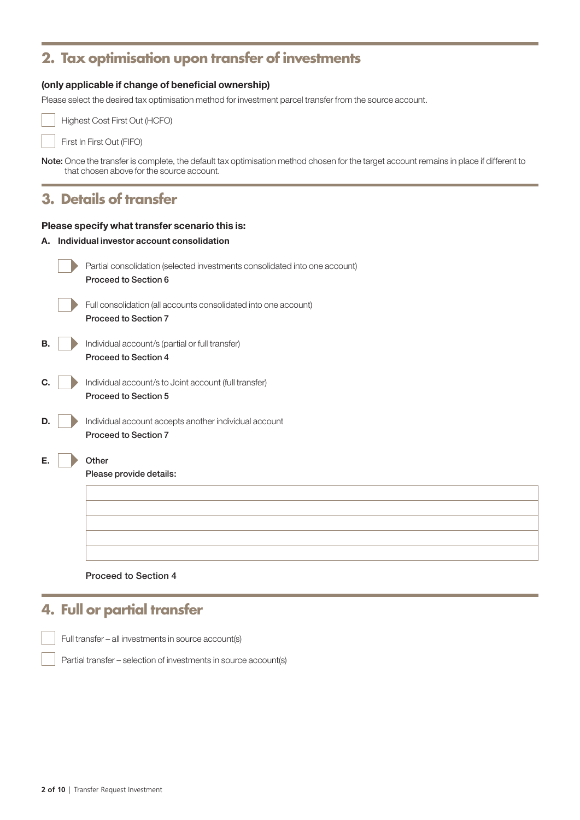### **2. Tax optimisation upon transfer of investments**

### (only applicable if change of beneficial ownership)

Please select the desired tax optimisation method for investment parcel transfer from the source account.



Highest Cost First Out (HCFO)

First In First Out (FIFO)

Note: Once the transfer is complete, the default tax optimisation method chosen for the target account remains in place if different to that chosen above for the source account.

### **3. Details of transfer**

#### Please specify what transfer scenario this is:

A. Individual investor account consolidation

| Partial consolidation (selected investments consolidated into one account)<br>Proceed to Section 6 |
|----------------------------------------------------------------------------------------------------|
| Full consolidation (all accounts consolidated into one account)<br><b>Proceed to Section 7</b>     |
| Individual account/s (partial or full transfer)<br>Proceed to Section 4                            |
| Individual account/s to Joint account (full transfer)<br><b>Proceed to Section 5</b>               |
| Individual account accepts another individual account<br><b>Proceed to Section 7</b>               |
| Other<br>Please provide details:                                                                   |
|                                                                                                    |

### Proceed to Section 4

### **4. Full or partial transfer**

Full transfer – all investments in source account(s)

Partial transfer – selection of investments in source account(s)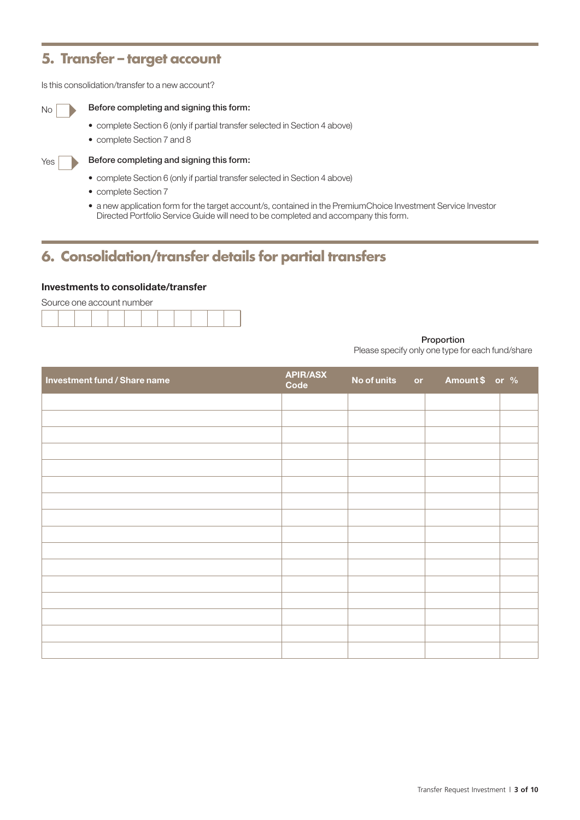### **5. Transfer – target account**

Is this consolidation/transfer to a new account?

### $N<sub>0</sub>$  Before completing and signing this form:

- complete Section 6 (only if partial transfer selected in Section 4 above)
- complete Section 7 and 8



#### $Y_{\text{ES}}$  Before completing and signing this form:

- complete Section 6 (only if partial transfer selected in Section 4 above)
- complete Section 7
- a new application form for the target account/s, contained in the PremiumChoice Investment Service Investor Directed Portfolio Service Guide will need to be completed and accompany this form.

### **6. Consolidation/transfer details for partial transfers**

#### Investments to consolidate/transfer



#### Proportion

Please specify only one type for each fund/share

| <b>Investment fund / Share name</b> | <b>APIR/ASX</b><br>Code | No of units or | Amount \$ or % |  |
|-------------------------------------|-------------------------|----------------|----------------|--|
|                                     |                         |                |                |  |
|                                     |                         |                |                |  |
|                                     |                         |                |                |  |
|                                     |                         |                |                |  |
|                                     |                         |                |                |  |
|                                     |                         |                |                |  |
|                                     |                         |                |                |  |
|                                     |                         |                |                |  |
|                                     |                         |                |                |  |
|                                     |                         |                |                |  |
|                                     |                         |                |                |  |
|                                     |                         |                |                |  |
|                                     |                         |                |                |  |
|                                     |                         |                |                |  |
|                                     |                         |                |                |  |
|                                     |                         |                |                |  |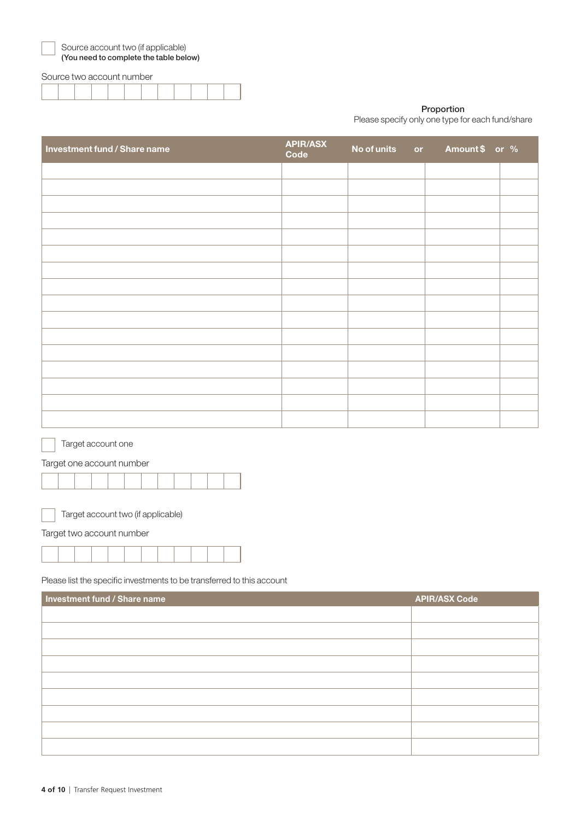| ×<br>v<br>×<br>۰, |
|-------------------|
|                   |

urce account two (if applicable) (You need to complete the table below)

#### Source two account number

#### Proportion

Please specify only one type for each fund/share

| Investment fund / Share name | <b>APIR/ASX</b><br>Code | No of units or | Amount \$ or % |  |
|------------------------------|-------------------------|----------------|----------------|--|
|                              |                         |                |                |  |
|                              |                         |                |                |  |
|                              |                         |                |                |  |
|                              |                         |                |                |  |
|                              |                         |                |                |  |
|                              |                         |                |                |  |
|                              |                         |                |                |  |
|                              |                         |                |                |  |
|                              |                         |                |                |  |
|                              |                         |                |                |  |
|                              |                         |                |                |  |
|                              |                         |                |                |  |
|                              |                         |                |                |  |
|                              |                         |                |                |  |
|                              |                         |                |                |  |
|                              |                         |                |                |  |

Target account one

Target one account number



Target account two (if applicable)

Target two account number

Please list the specific investments to be transferred to this account

| Investment fund / Share name | <b>APIR/ASX Code</b> |
|------------------------------|----------------------|
|                              |                      |
|                              |                      |
|                              |                      |
|                              |                      |
|                              |                      |
|                              |                      |
|                              |                      |
|                              |                      |
|                              |                      |
|                              |                      |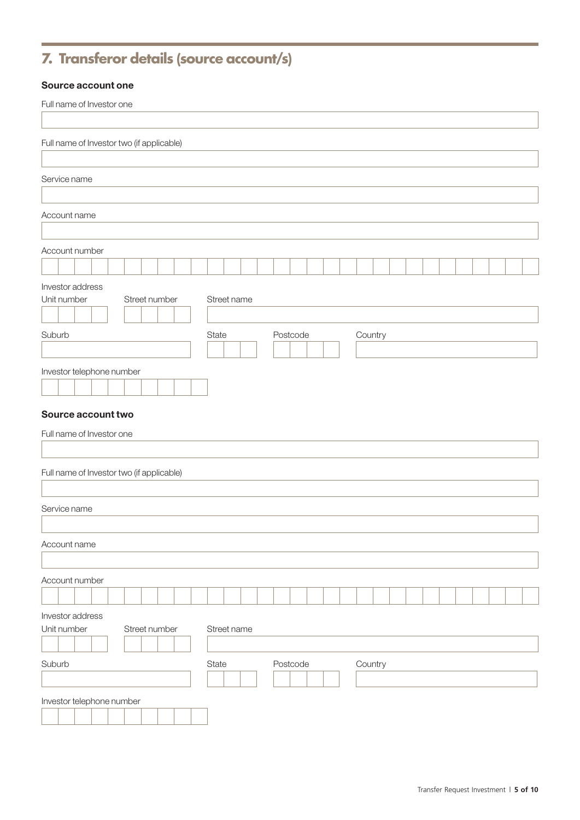## **7. Transferor details (source account/s)**

### Source account one

| Full name of Investor one                 |  |  |  |               |  |             |  |  |          |  |  |         |  |  |  |  |  |
|-------------------------------------------|--|--|--|---------------|--|-------------|--|--|----------|--|--|---------|--|--|--|--|--|
|                                           |  |  |  |               |  |             |  |  |          |  |  |         |  |  |  |  |  |
| Full name of Investor two (if applicable) |  |  |  |               |  |             |  |  |          |  |  |         |  |  |  |  |  |
| Service name                              |  |  |  |               |  |             |  |  |          |  |  |         |  |  |  |  |  |
|                                           |  |  |  |               |  |             |  |  |          |  |  |         |  |  |  |  |  |
| Account name                              |  |  |  |               |  |             |  |  |          |  |  |         |  |  |  |  |  |
|                                           |  |  |  |               |  |             |  |  |          |  |  |         |  |  |  |  |  |
| Account number                            |  |  |  |               |  |             |  |  |          |  |  |         |  |  |  |  |  |
| Investor address                          |  |  |  |               |  |             |  |  |          |  |  |         |  |  |  |  |  |
| Unit number                               |  |  |  | Street number |  | Street name |  |  |          |  |  |         |  |  |  |  |  |
|                                           |  |  |  |               |  |             |  |  |          |  |  |         |  |  |  |  |  |
| Suburb                                    |  |  |  |               |  | State       |  |  | Postcode |  |  | Country |  |  |  |  |  |
| Investor telephone number                 |  |  |  |               |  |             |  |  |          |  |  |         |  |  |  |  |  |
|                                           |  |  |  |               |  |             |  |  |          |  |  |         |  |  |  |  |  |
| Source account two                        |  |  |  |               |  |             |  |  |          |  |  |         |  |  |  |  |  |
| Full name of Investor one                 |  |  |  |               |  |             |  |  |          |  |  |         |  |  |  |  |  |
|                                           |  |  |  |               |  |             |  |  |          |  |  |         |  |  |  |  |  |
| Full name of Investor two (if applicable) |  |  |  |               |  |             |  |  |          |  |  |         |  |  |  |  |  |
|                                           |  |  |  |               |  |             |  |  |          |  |  |         |  |  |  |  |  |
| Service name                              |  |  |  |               |  |             |  |  |          |  |  |         |  |  |  |  |  |
|                                           |  |  |  |               |  |             |  |  |          |  |  |         |  |  |  |  |  |
| Account name                              |  |  |  |               |  |             |  |  |          |  |  |         |  |  |  |  |  |
| Account number                            |  |  |  |               |  |             |  |  |          |  |  |         |  |  |  |  |  |
|                                           |  |  |  |               |  |             |  |  |          |  |  |         |  |  |  |  |  |
| Investor address                          |  |  |  |               |  |             |  |  |          |  |  |         |  |  |  |  |  |
| Unit number                               |  |  |  | Street number |  | Street name |  |  |          |  |  |         |  |  |  |  |  |
| Suburb                                    |  |  |  |               |  |             |  |  |          |  |  |         |  |  |  |  |  |
|                                           |  |  |  |               |  | State       |  |  | Postcode |  |  | Country |  |  |  |  |  |
| Investor telephone number                 |  |  |  |               |  |             |  |  |          |  |  |         |  |  |  |  |  |
|                                           |  |  |  |               |  |             |  |  |          |  |  |         |  |  |  |  |  |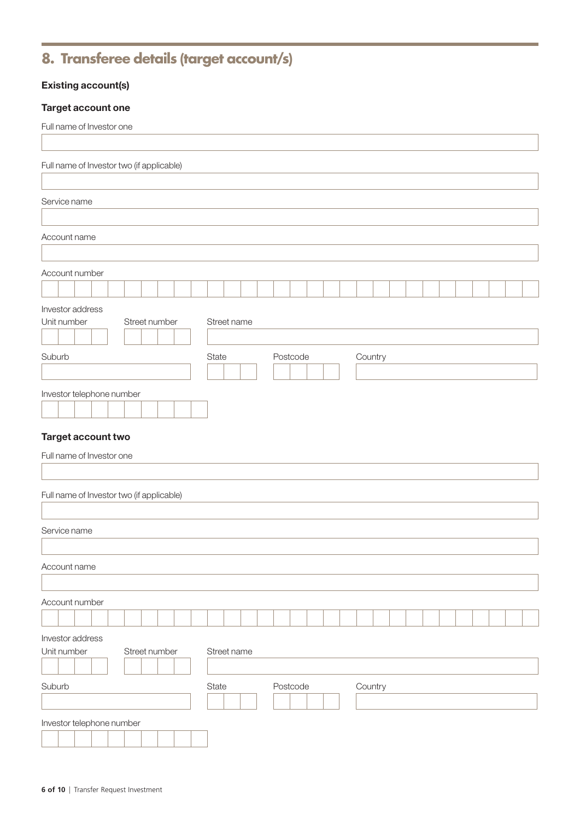### **8. Transferee details (target account/s)**

### Existing account(s)

### Target account one

| Full name of Investor two (if applicable)<br>Service name<br>Account name<br>Account number<br>Investor address<br>Unit number<br>Street number<br>Street name<br>Suburb<br>Postcode<br>State<br>Country<br>Investor telephone number<br>Target account two<br>Full name of Investor one<br>Full name of Investor two (if applicable) |
|---------------------------------------------------------------------------------------------------------------------------------------------------------------------------------------------------------------------------------------------------------------------------------------------------------------------------------------|
|                                                                                                                                                                                                                                                                                                                                       |
|                                                                                                                                                                                                                                                                                                                                       |
|                                                                                                                                                                                                                                                                                                                                       |
|                                                                                                                                                                                                                                                                                                                                       |
|                                                                                                                                                                                                                                                                                                                                       |
|                                                                                                                                                                                                                                                                                                                                       |
|                                                                                                                                                                                                                                                                                                                                       |
|                                                                                                                                                                                                                                                                                                                                       |
|                                                                                                                                                                                                                                                                                                                                       |
|                                                                                                                                                                                                                                                                                                                                       |
|                                                                                                                                                                                                                                                                                                                                       |
|                                                                                                                                                                                                                                                                                                                                       |
|                                                                                                                                                                                                                                                                                                                                       |
|                                                                                                                                                                                                                                                                                                                                       |
|                                                                                                                                                                                                                                                                                                                                       |
|                                                                                                                                                                                                                                                                                                                                       |
|                                                                                                                                                                                                                                                                                                                                       |
|                                                                                                                                                                                                                                                                                                                                       |
| Service name                                                                                                                                                                                                                                                                                                                          |
|                                                                                                                                                                                                                                                                                                                                       |
| Account name                                                                                                                                                                                                                                                                                                                          |
|                                                                                                                                                                                                                                                                                                                                       |
| Account number                                                                                                                                                                                                                                                                                                                        |
| Investor address                                                                                                                                                                                                                                                                                                                      |
| Street number<br>Unit number<br>Street name                                                                                                                                                                                                                                                                                           |
|                                                                                                                                                                                                                                                                                                                                       |
| Suburb<br>Postcode<br>Country<br>State                                                                                                                                                                                                                                                                                                |
|                                                                                                                                                                                                                                                                                                                                       |
| Investor telephone number                                                                                                                                                                                                                                                                                                             |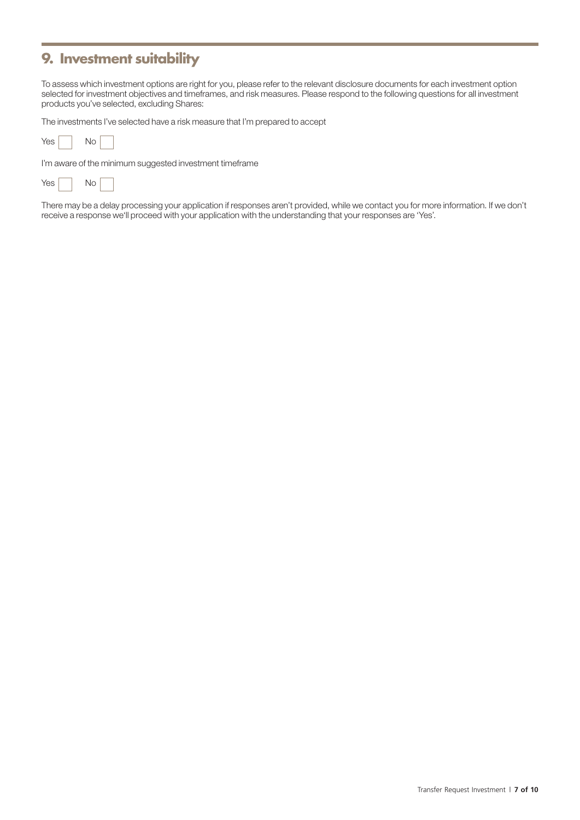### **9. Investment suitability**

To assess which investment options are right for you, please refer to the relevant disclosure documents for each investment option selected for investment objectives and timeframes, and risk measures. Please respond to the following questions for all investment products you've selected, excluding Shares:

The investments I've selected have a risk measure that I'm prepared to accept

| Yes<br>Nο |  |
|-----------|--|
|-----------|--|

I'm aware of the minimum suggested investment timeframe

| <b>Yes</b> |  | Nο |  |
|------------|--|----|--|
|------------|--|----|--|

There may be a delay processing your application if responses aren't provided, while we contact you for more information. If we don't receive a response we'll proceed with your application with the understanding that your responses are 'Yes'.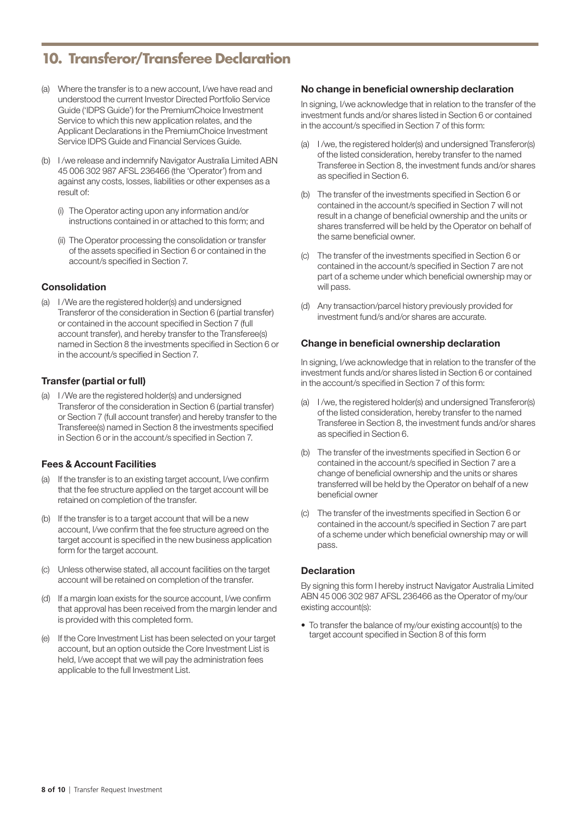### **10. Transferor/Transferee Declaration**

- (a) Where the transfer is to a new account, I/we have read and understood the current Investor Directed Portfolio Service Guide ('IDPS Guide') for the PremiumChoice Investment Service to which this new application relates, and the Applicant Declarations in the PremiumChoice Investment Service IDPS Guide and Financial Services Guide.
- (b) I /we release and indemnify Navigator Australia Limited ABN 45 006 302 987 AFSL 236466 (the 'Operator') from and against any costs, losses, liabilities or other expenses as a result of:
	- (i) The Operator acting upon any information and/or instructions contained in or attached to this form; and
	- (ii) The Operator processing the consolidation or transfer of the assets specified in Section 6 or contained in the account/s specified in Section 7.

### Consolidation

(a) I /We are the registered holder(s) and undersigned Transferor of the consideration in Section 6 (partial transfer) or contained in the account specified in Section 7 (full account transfer), and hereby transfer to the Transferee(s) named in Section 8 the investments specified in Section 6 or in the account/s specified in Section 7.

### Transfer (partial or full)

(a) I /We are the registered holder(s) and undersigned Transferor of the consideration in Section 6 (partial transfer) or Section 7 (full account transfer) and hereby transfer to the Transferee(s) named in Section 8 the investments specified in Section 6 or in the account/s specified in Section 7.

### Fees & Account Facilities

- (a) If the transfer is to an existing target account, I/we confirm that the fee structure applied on the target account will be retained on completion of the transfer.
- (b) If the transfer is to a target account that will be a new account, I/we confirm that the fee structure agreed on the target account is specified in the new business application form for the target account.
- (c) Unless otherwise stated, all account facilities on the target account will be retained on completion of the transfer.
- (d) If a margin loan exists for the source account, I/we confirm that approval has been received from the margin lender and is provided with this completed form.
- (e) If the Core Investment List has been selected on your target account, but an option outside the Core Investment List is held, I/we accept that we will pay the administration fees applicable to the full Investment List.

#### No change in beneficial ownership declaration

In signing, I/we acknowledge that in relation to the transfer of the investment funds and/or shares listed in Section 6 or contained in the account/s specified in Section 7 of this form:

- (a) I /we, the registered holder(s) and undersigned Transferor(s) of the listed consideration, hereby transfer to the named Transferee in Section 8, the investment funds and/or shares as specified in Section 6.
- (b) The transfer of the investments specified in Section 6 or contained in the account/s specified in Section 7 will not result in a change of beneficial ownership and the units or shares transferred will be held by the Operator on behalf of the same beneficial owner.
- (c) The transfer of the investments specified in Section 6 or contained in the account/s specified in Section 7 are not part of a scheme under which beneficial ownership may or will pass.
- (d) Any transaction/parcel history previously provided for investment fund/s and/or shares are accurate.

### Change in beneficial ownership declaration

In signing, I/we acknowledge that in relation to the transfer of the investment funds and/or shares listed in Section 6 or contained in the account/s specified in Section 7 of this form:

- (a) I /we, the registered holder(s) and undersigned Transferor(s) of the listed consideration, hereby transfer to the named Transferee in Section 8, the investment funds and/or shares as specified in Section 6.
- (b) The transfer of the investments specified in Section 6 or contained in the account/s specified in Section 7 are a change of beneficial ownership and the units or shares transferred will be held by the Operator on behalf of a new beneficial owner
- (c) The transfer of the investments specified in Section 6 or contained in the account/s specified in Section 7 are part of a scheme under which beneficial ownership may or will pass.

#### **Declaration**

By signing this form I hereby instruct Navigator Australia Limited ABN 45 006 302 987 AFSL 236466 as the Operator of my/our existing account(s):

• To transfer the balance of my/our existing account(s) to the target account specified in Section 8 of this form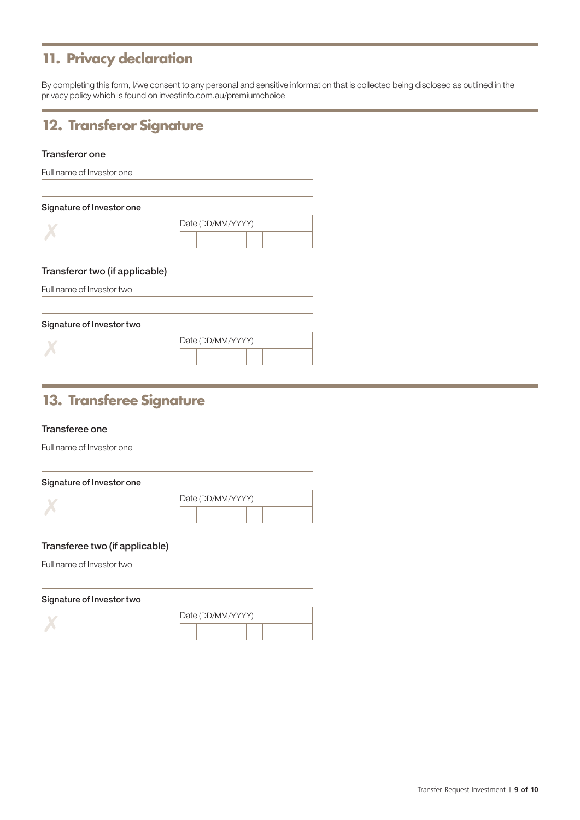### **11. Privacy declaration**

By completing this form, I/we consent to any personal and sensitive information that is collected being disclosed as outlined in the privacy policy which is found on [investinfo.com.au/premiumchoice](http://investinfo.com.au/premiumchoice)

### **12. Transferor Signature**

### Transferor one

| Full name of Investor one |                   |
|---------------------------|-------------------|
| Signature of Investor one |                   |
|                           | Date (DD/MM/YYYY) |
|                           |                   |

### Transferor two (if applicable)

| Full name of Investor two |                   |
|---------------------------|-------------------|
|                           |                   |
| Signature of Investor two |                   |
|                           | Date (DD/MM/YYYY) |
|                           |                   |
|                           |                   |

### **13. Transferee Signature**

### Transferee one

|  | Full name of Investor one |  |
|--|---------------------------|--|
|  |                           |  |

| Signature of Investor one |                   |
|---------------------------|-------------------|
|                           | Date (DD/MM/YYYY) |
|                           |                   |

#### Transferee two (if applicable)

Full name of Investor two

### Signature of Investor two

|  | Date (DD/MM/YYYY) |  |  |  |  |  |  |  |  |  |  |  |  |  |  |
|--|-------------------|--|--|--|--|--|--|--|--|--|--|--|--|--|--|
|  |                   |  |  |  |  |  |  |  |  |  |  |  |  |  |  |